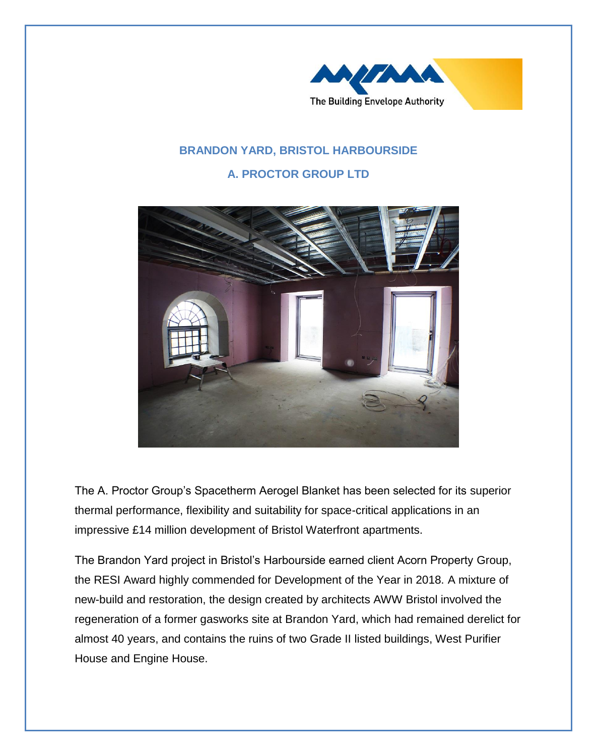

## **BRANDON YARD, BRISTOL HARBOURSIDE**

**A. PROCTOR GROUP LTD**



The A. Proctor Group's Spacetherm Aerogel Blanket has been selected for its superior thermal performance, flexibility and suitability for space-critical applications in an impressive £14 million development of Bristol Waterfront apartments.

The Brandon Yard project in Bristol's Harbourside earned client Acorn Property Group, the RESI Award highly commended for Development of the Year in 2018. A mixture of new-build and restoration, the design created by architects AWW Bristol involved the regeneration of a former gasworks site at Brandon Yard, which had remained derelict for almost 40 years, and contains the ruins of two Grade II listed buildings, West Purifier House and Engine House.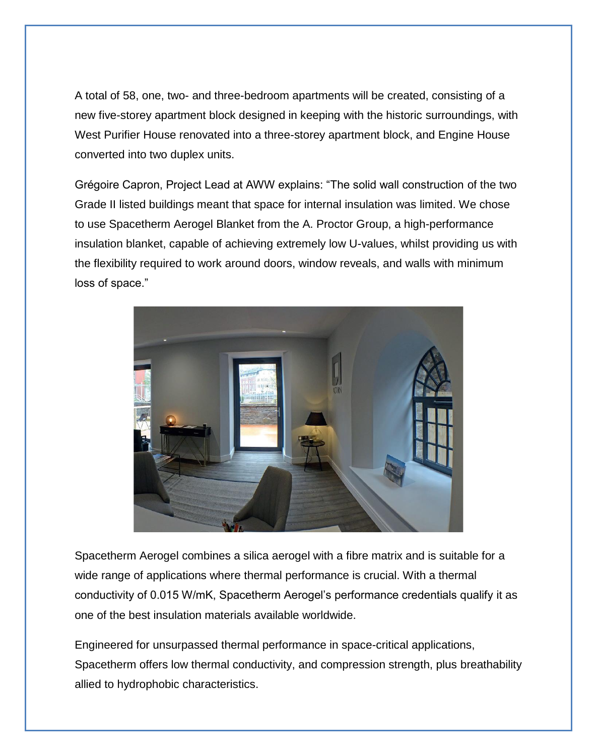A total of 58, one, two- and three-bedroom apartments will be created, consisting of a new five-storey apartment block designed in keeping with the historic surroundings, with West Purifier House renovated into a three-storey apartment block, and Engine House converted into two duplex units.

Grégoire Capron, Project Lead at AWW explains: "The solid wall construction of the two Grade II listed buildings meant that space for internal insulation was limited. We chose to use Spacetherm Aerogel Blanket from the A. Proctor Group, a high-performance insulation blanket, capable of achieving extremely low U-values, whilst providing us with the flexibility required to work around doors, window reveals, and walls with minimum loss of space."



Spacetherm Aerogel combines a silica aerogel with a fibre matrix and is suitable for a wide range of applications where thermal performance is crucial. With a thermal conductivity of 0.015 W/mK, Spacetherm Aerogel's performance credentials qualify it as one of the best insulation materials available worldwide.

Engineered for unsurpassed thermal performance in space-critical applications, Spacetherm offers low thermal conductivity, and compression strength, plus breathability allied to hydrophobic characteristics.